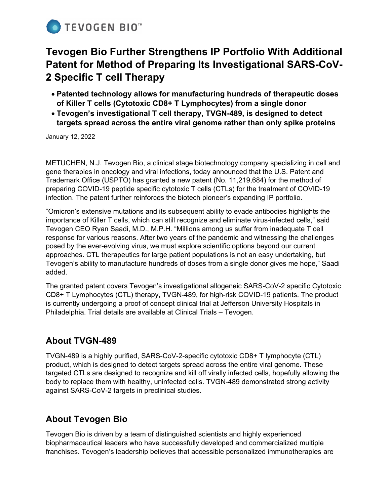

# **Tevogen Bio Further Strengthens IP Portfolio With Additional Patent for Method of Preparing Its Investigational SARS-CoV-2 Specific T cell Therapy**

- **Patented technology allows for manufacturing hundreds of therapeutic doses of Killer T cells (Cytotoxic CD8+ T Lymphocytes) from a single donor**
- **Tevogen's investigational T cell therapy, TVGN-489, is designed to detect targets spread across the entire viral genome rather than only spike proteins**

January 12, 2022

METUCHEN, N.J. Tevogen Bio, a clinical stage biotechnology company specializing in cell and gene therapies in oncology and viral infections, today announced that the U.S. Patent and Trademark Office (USPTO) has granted a new patent (No. 11,219,684) for the method of preparing COVID-19 peptide specific cytotoxic T cells (CTLs) for the treatment of COVID-19 infection. The patent further reinforces the biotech pioneer's expanding IP portfolio.

"Omicron's extensive mutations and its subsequent ability to evade antibodies highlights the importance of Killer T cells, which can still recognize and eliminate virus-infected cells," said Tevogen CEO Ryan Saadi, M.D., M.P.H. "Millions among us suffer from inadequate T cell response for various reasons. After two years of the pandemic and witnessing the challenges posed by the ever-evolving virus, we must explore scientific options beyond our current approaches. CTL therapeutics for large patient populations is not an easy undertaking, but Tevogen's ability to manufacture hundreds of doses from a single donor gives me hope," Saadi added.

The granted patent covers Tevogen's investigational allogeneic SARS-CoV-2 specific Cytotoxic CD8+ T Lymphocytes (CTL) therapy, TVGN-489, for high-risk COVID-19 patients. The product is currently undergoing a proof of concept clinical trial at Jefferson University Hospitals in Philadelphia. Trial details are available at Clinical Trials – Tevogen.

### **About TVGN-489**

TVGN-489 is a highly purified, SARS-CoV-2-specific cytotoxic CD8+ T lymphocyte (CTL) product, which is designed to detect targets spread across the entire viral genome. These targeted CTLs are designed to recognize and kill off virally infected cells, hopefully allowing the body to replace them with healthy, uninfected cells. TVGN-489 demonstrated strong activity against SARS-CoV-2 targets in preclinical studies.

## **About Tevogen Bio**

Tevogen Bio is driven by a team of distinguished scientists and highly experienced biopharmaceutical leaders who have successfully developed and commercialized multiple franchises. Tevogen's leadership believes that accessible personalized immunotherapies are